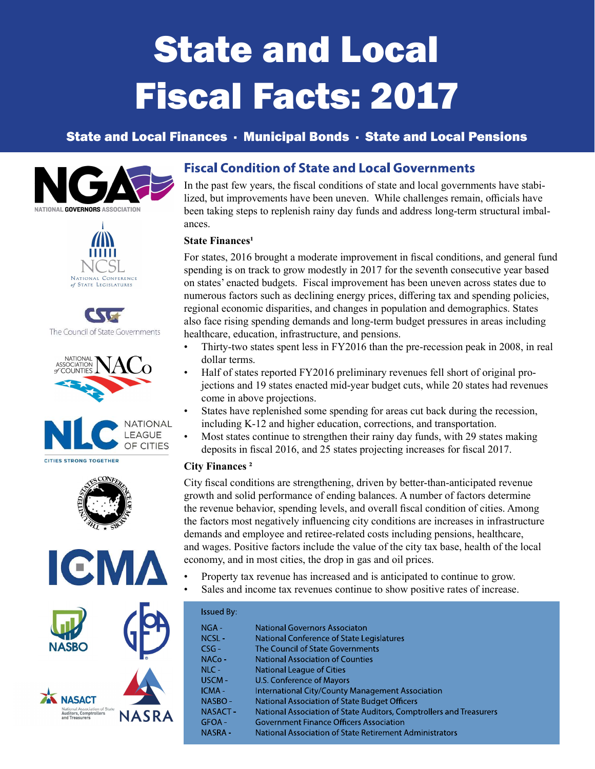# State and Local Fiscal Facts: 2017

# State and Local Finances · Municipal Bonds · State and Local Pensions















# **Fiscal Condition of State and Local Governments**

In the past few years, the fiscal conditions of state and local governments have stabilized, but improvements have been uneven. While challenges remain, officials have been taking steps to replenish rainy day funds and address long-term structural imbalances.

### **State Finances<sup>1</sup>**

For states, 2016 brought a moderate improvement in fiscal conditions, and general fund spending is on track to grow modestly in 2017 for the seventh consecutive year based on states' enacted budgets. Fiscal improvement has been uneven across states due to numerous factors such as declining energy prices, differing tax and spending policies, regional economic disparities, and changes in population and demographics. States also face rising spending demands and long-term budget pressures in areas including healthcare, education, infrastructure, and pensions.

- Thirty-two states spent less in FY2016 than the pre-recession peak in 2008, in real dollar terms.
- Half of states reported FY2016 preliminary revenues fell short of original projections and 19 states enacted mid-year budget cuts, while 20 states had revenues come in above projections.
- States have replenished some spending for areas cut back during the recession, including K-12 and higher education, corrections, and transportation.
- Most states continue to strengthen their rainy day funds, with 29 states making deposits in fiscal 2016, and 25 states projecting increases for fiscal 2017.

#### City Finances ²

City fiscal conditions are strengthening, driven by better-than-anticipated revenue growth and solid performance of ending balances. A number of factors determine the revenue behavior, spending levels, and overall fiscal condition of cities. Among the factors most negatively influencing city conditions are increases in infrastructure demands and employee and retiree-related costs including pensions, healthcare, and wages. Positive factors include the value of the city tax base, health of the local economy, and in most cities, the drop in gas and oil prices.

- Property tax revenue has increased and is anticipated to continue to grow.
- Sales and income tax revenues continue to show positive rates of increase.

| <b>Issued By:</b> |                                                                     |
|-------------------|---------------------------------------------------------------------|
| $NGA -$           | National Governors Associaton                                       |
| $NCSL -$          | National Conference of State Legislatures                           |
| $CSG-$            | The Council of State Governments                                    |
| $NACo -$          | <b>National Association of Counties</b>                             |
| $NLC -$           | National League of Cities                                           |
| USCM-             | U.S. Conference of Mayors                                           |
| ICMA-             | <b>International City/County Management Association</b>             |
| NASBO-            | National Association of State Budget Officers                       |
| NASACT-           | National Association of State Auditors, Comptrollers and Treasurers |
| $GFOA -$          | <b>Government Finance Officers Association</b>                      |
| <b>NASRA-</b>     | National Association of State Retirement Administrators             |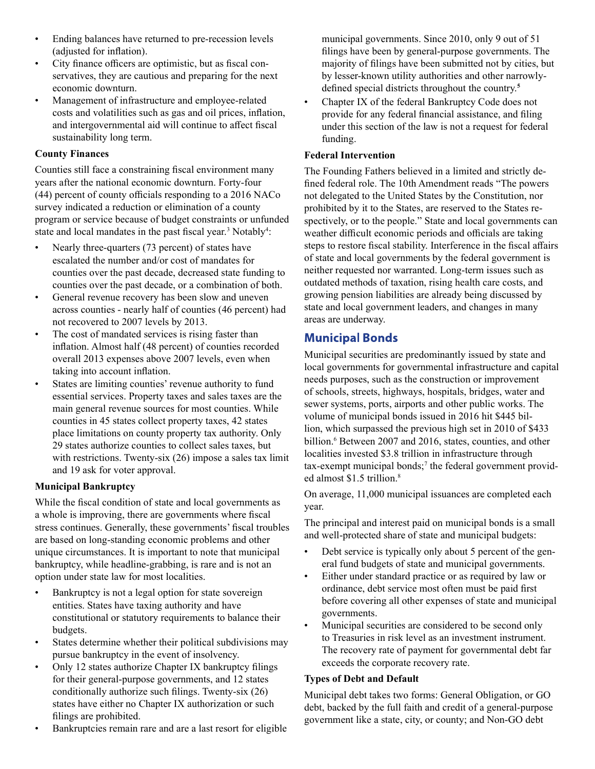- Ending balances have returned to pre-recession levels (adjusted for inflation).
- City finance officers are optimistic, but as fiscal conservatives, they are cautious and preparing for the next economic downturn.
- Management of infrastructure and employee-related costs and volatilities such as gas and oil prices, inflation, and intergovernmental aid will continue to affect fiscal sustainability long term.

#### County Finances

Counties still face a constraining fiscal environment many years after the national economic downturn. Forty-four  $(44)$  percent of county officials responding to a 2016 NACo survey indicated a reduction or elimination of a county program or service because of budget constraints or unfunded state and local mandates in the past fiscal year.<sup>3</sup> Notably<sup>4</sup>:

- Nearly three-quarters (73 percent) of states have escalated the number and/or cost of mandates for counties over the past decade, decreased state funding to counties over the past decade, or a combination of both.
- General revenue recovery has been slow and uneven across counties - nearly half of counties (46 percent) had not recovered to 2007 levels by 2013.
- The cost of mandated services is rising faster than inflation. Almost half (48 percent) of counties recorded overall 2013 expenses above 2007 levels, even when taking into account inflation.
- States are limiting counties' revenue authority to fund essential services. Property taxes and sales taxes are the main general revenue sources for most counties. While counties in 45 states collect property taxes, 42 states place limitations on county property tax authority. Only 29 states authorize counties to collect sales taxes, but with restrictions. Twenty-six (26) impose a sales tax limit and 19 ask for voter approval.

## Municipal Bankruptcy

While the fiscal condition of state and local governments as a whole is improving, there are governments where fiscal stress continues. Generally, these governments' fiscal troubles are based on long-standing economic problems and other unique circumstances. It is important to note that municipal bankruptcy, while headline-grabbing, is rare and is not an option under state law for most localities.

- Bankruptcy is not a legal option for state sovereign entities. States have taxing authority and have constitutional or statutory requirements to balance their budgets.
- States determine whether their political subdivisions may pursue bankruptcy in the event of insolvency.
- Only 12 states authorize Chapter IX bankruptcy filings for their general-purpose governments, and 12 states conditionally authorize such filings. Twenty-six  $(26)$ states have either no Chapter IX authorization or such filings are prohibited.
- Bankruptcies remain rare and are a last resort for eligible

municipal governments. Since 2010, only 9 out of 51 filings have been by general-purpose governments. The majority of filings have been submitted not by cities, but by lesser-known utility authorities and other narrowlydefined special districts throughout the country.<sup>5</sup>

• Chapter IX of the federal Bankruptcy Code does not provide for any federal financial assistance, and filing under this section of the law is not a request for federal funding.

## Federal Intervention

The Founding Fathers believed in a limited and strictly defined federal role. The 10th Amendment reads "The powers" not delegated to the United States by the Constitution, nor prohibited by it to the States, are reserved to the States respectively, or to the people." State and local governments can weather difficult economic periods and officials are taking steps to restore fiscal stability. Interference in the fiscal affairs of state and local governments by the federal government is neither requested nor warranted. Long-term issues such as outdated methods of taxation, rising health care costs, and growing pension liabilities are already being discussed by state and local government leaders, and changes in many areas are underway.

## **Municipal Bonds**

Municipal securities are predominantly issued by state and local governments for governmental infrastructure and capital needs purposes, such as the construction or improvement of schools, streets, highways, hospitals, bridges, water and sewer systems, ports, airports and other public works. The volume of municipal bonds issued in 2016 hit \$445 billion, which surpassed the previous high set in 2010 of \$433 billion.<sup>6</sup> Between 2007 and 2016, states, counties, and other localities invested \$3.8 trillion in infrastructure through tax-exempt municipal bonds;<sup>7</sup> the federal government provided almost \$1.5 trillion.<sup>8</sup>

On average, 11,000 municipal issuances are completed each year.

The principal and interest paid on municipal bonds is a small and well-protected share of state and municipal budgets:

- Debt service is typically only about 5 percent of the general fund budgets of state and municipal governments.
- Either under standard practice or as required by law or ordinance, debt service most often must be paid first before covering all other expenses of state and municipal governments.
- Municipal securities are considered to be second only to Treasuries in risk level as an investment instrument. The recovery rate of payment for governmental debt far exceeds the corporate recovery rate.

## Types of Debt and Default

Municipal debt takes two forms: General Obligation, or GO debt, backed by the full faith and credit of a general-purpose government like a state, city, or county; and Non-GO debt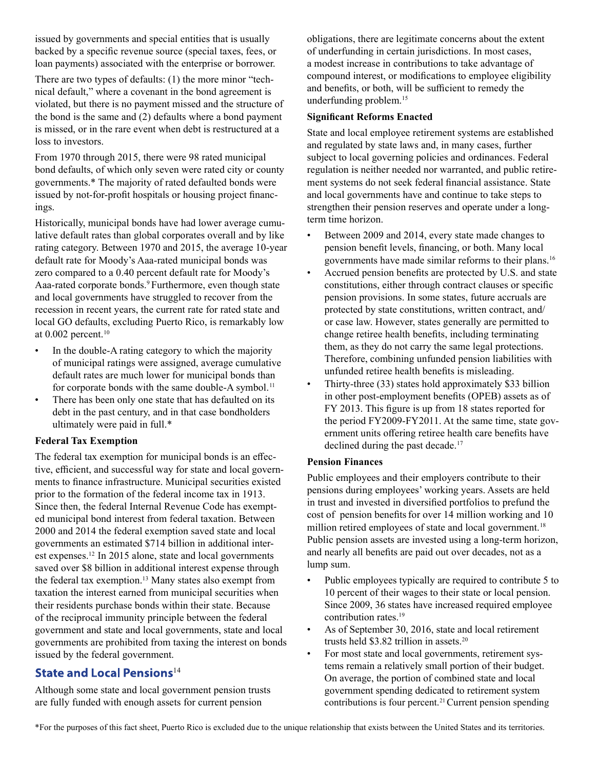issued by governments and special entities that is usually backed by a specific revenue source (special taxes, fees, or loan payments) associated with the enterprise or borrower.

There are two types of defaults: (1) the more minor "technical default," where a covenant in the bond agreement is violated, but there is no payment missed and the structure of the bond is the same and (2) defaults where a bond payment is missed, or in the rare event when debt is restructured at a loss to investors.

From 1970 through 2015, there were 98 rated municipal bond defaults, of which only seven were rated city or county governments.\* The majority of rated defaulted bonds were issued by not-for-profit hospitals or housing project financings.

Historically, municipal bonds have had lower average cumulative default rates than global corporates overall and by like rating category. Between 1970 and 2015, the average 10-year default rate for Moody's Aaa-rated municipal bonds was zero compared to a 0.40 percent default rate for Moody's Aaa-rated corporate bonds.<sup>9</sup> Furthermore, even though state and local governments have struggled to recover from the recession in recent years, the current rate for rated state and local GO defaults, excluding Puerto Rico, is remarkably low at  $0.002$  percent.<sup>10</sup>

- In the double-A rating category to which the majority of municipal ratings were assigned, average cumulative default rates are much lower for municipal bonds than for corporate bonds with the same double-A symbol.<sup>11</sup>
- There has been only one state that has defaulted on its debt in the past century, and in that case bondholders ultimately were paid in full.\*

## Federal Tax Exemption

The federal tax exemption for municipal bonds is an effective, efficient, and successful way for state and local governments to finance infrastructure. Municipal securities existed prior to the formation of the federal income tax in 1913. Since then, the federal Internal Revenue Code has exempted municipal bond interest from federal taxation. Between 2000 and 2014 the federal exemption saved state and local governments an estimated \$714 billion in additional interest expenses.12 In 2015 alone, state and local governments saved over \$8 billion in additional interest expense through the federal tax exemption.13 Many states also exempt from taxation the interest earned from municipal securities when their residents purchase bonds within their state. Because of the reciprocal immunity principle between the federal government and state and local governments, state and local governments are prohibited from taxing the interest on bonds issued by the federal government.

## State and Local Pensions<sup>14</sup>

Although some state and local government pension trusts are fully funded with enough assets for current pension

obligations, there are legitimate concerns about the extent of underfunding in certain jurisdictions. In most cases, a modest increase in contributions to take advantage of compound interest, or modifications to employee eligibility and benefits, or both, will be sufficient to remedy the underfunding problem.<sup>15</sup>

#### **Significant Reforms Enacted**

State and local employee retirement systems are established and regulated by state laws and, in many cases, further subject to local governing policies and ordinances. Federal regulation is neither needed nor warranted, and public retirement systems do not seek federal financial assistance. State and local governments have and continue to take steps to strengthen their pension reserves and operate under a longterm time horizon.

- Between 2009 and 2014, every state made changes to pension benefit levels, financing, or both. Many local governments have made similar reforms to their plans.<sup>16</sup>
- Accrued pension benefits are protected by U.S. and state constitutions, either through contract clauses or specific pension provisions. In some states, future accruals are protected by state constitutions, written contract, and/ or case law. However, states generally are permitted to change retiree health benefits, including terminating them, as they do not carry the same legal protections. Therefore, combining unfunded pension liabilities with unfunded retiree health benefits is misleading.
- Thirty-three (33) states hold approximately \$33 billion in other post-employment benefits (OPEB) assets as of FY 2013. This figure is up from 18 states reported for the period FY2009-FY2011. At the same time, state government units offering retiree health care benefits have declined during the past decade.<sup>17</sup>

#### Pension Finances

Public employees and their employers contribute to their pensions during employees' working years. Assets are held in trust and invested in diversified portfolios to prefund the cost of pension benefits for over 14 million working and 10 million retired employees of state and local government.<sup>18</sup> Public pension assets are invested using a long-term horizon, and nearly all benefits are paid out over decades, not as a lump sum.

- Public employees typically are required to contribute 5 to 10 percent of their wages to their state or local pension. Since 2009, 36 states have increased required employee contribution rates.<sup>19</sup>
- As of September 30, 2016, state and local retirement trusts held \$3.82 trillion in assets.<sup>20</sup>
- For most state and local governments, retirement systems remain a relatively small portion of their budget. On average, the portion of combined state and local government spending dedicated to retirement system contributions is four percent.<sup>21</sup> Current pension spending

\*For the purposes of this fact sheet, Puerto Rico is excluded due to the unique relationship that exists between the United States and its territories.